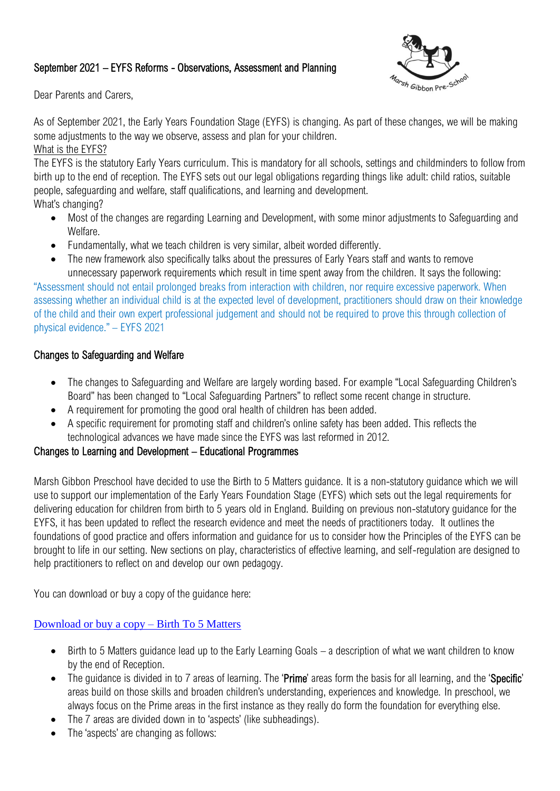# September 2021 – EYFS Reforms - Observations, Assessment and Planning



Dear Parents and Carers,

As of September 2021, the Early Years Foundation Stage (EYFS) is changing. As part of these changes, we will be making some adjustments to the way we observe, assess and plan for your children.

### What is the EYFS?

The EYFS is the statutory Early Years curriculum. This is mandatory for all schools, settings and childminders to follow from birth up to the end of reception. The EYFS sets out our legal obligations regarding things like adult: child ratios, suitable people, safeguarding and welfare, staff qualifications, and learning and development.

What's changing?

- Most of the changes are regarding Learning and Development, with some minor adjustments to Safeguarding and Welfare.
- Fundamentally, what we teach children is very similar, albeit worded differently.
- The new framework also specifically talks about the pressures of Early Years staff and wants to remove unnecessary paperwork requirements which result in time spent away from the children. It says the following:

"Assessment should not entail prolonged breaks from interaction with children, nor require excessive paperwork. When assessing whether an individual child is at the expected level of development, practitioners should draw on their knowledge of the child and their own expert professional judgement and should not be required to prove this through collection of physical evidence." – EYFS 2021

## Changes to Safeguarding and Welfare

- The changes to Safeguarding and Welfare are largely wording based. For example "Local Safeguarding Children's Board" has been changed to "Local Safeguarding Partners" to reflect some recent change in structure.
- A requirement for promoting the good oral health of children has been added.
- A specific requirement for promoting staff and children's online safety has been added. This reflects the technological advances we have made since the EYFS was last reformed in 2012.

## Changes to Learning and Development – Educational Programmes

Marsh Gibbon Preschool have decided to use the Birth to 5 Matters guidance. It is a non-statutory guidance which we will use to support our implementation of the Early Years Foundation Stage (EYFS) which sets out the legal requirements for delivering education for children from birth to 5 years old in England. Building on previous non-statutory guidance for the EYFS, it has been updated to reflect the research evidence and meet the needs of practitioners today. It outlines the foundations of good practice and offers information and guidance for us to consider how the Principles of the EYFS can be brought to life in our setting. New sections on play, characteristics of effective learning, and self-regulation are designed to help practitioners to reflect on and develop our own pedagogy.

You can download or buy a copy of the guidance here:

## [Download or buy a copy –](https://www.birthto5matters.org.uk/download-or-buy-a-copy/) Birth To 5 Matters

- Birth to 5 Matters guidance lead up to the Early Learning Goals a description of what we want children to know by the end of Reception.
- The quidance is divided in to 7 areas of learning. The 'Prime' areas form the basis for all learning, and the 'Specific' areas build on those skills and broaden children's understanding, experiences and knowledge. In preschool, we always focus on the Prime areas in the first instance as they really do form the foundation for everything else.
- The 7 areas are divided down in to 'aspects' (like subheadings).
- The 'aspects' are changing as follows: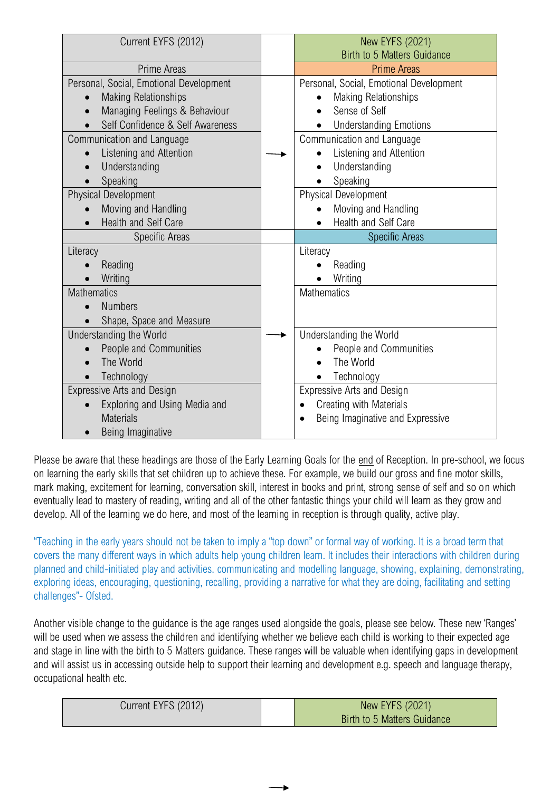| Current EYFS (2012)                     | <b>New EYFS (2021)</b>                  |
|-----------------------------------------|-----------------------------------------|
|                                         | <b>Birth to 5 Matters Guidance</b>      |
| <b>Prime Areas</b>                      | <b>Prime Areas</b>                      |
| Personal, Social, Emotional Development | Personal, Social, Emotional Development |
| <b>Making Relationships</b>             | <b>Making Relationships</b>             |
| Managing Feelings & Behaviour           | Sense of Self                           |
| Self Confidence & Self Awareness        | <b>Understanding Emotions</b>           |
| Communication and Language              | Communication and Language              |
| Listening and Attention                 | Listening and Attention                 |
| Understanding                           | Understanding                           |
| Speaking                                | Speaking                                |
| <b>Physical Development</b>             | <b>Physical Development</b>             |
| Moving and Handling                     | Moving and Handling                     |
| <b>Health and Self Care</b>             | Health and Self Care                    |
| Specific Areas                          | <b>Specific Areas</b>                   |
| Literacy                                | Literacy                                |
| Reading                                 | Reading                                 |
| Writing                                 | Writing                                 |
| <b>Mathematics</b>                      | <b>Mathematics</b>                      |
| <b>Numbers</b>                          |                                         |
| Shape, Space and Measure                |                                         |
| Understanding the World                 | Understanding the World                 |
| People and Communities                  | People and Communities                  |
| The World                               | The World                               |
| Technology                              | Technology                              |
| <b>Expressive Arts and Design</b>       | <b>Expressive Arts and Design</b>       |
| Exploring and Using Media and           | Creating with Materials                 |
| <b>Materials</b>                        | Being Imaginative and Expressive        |
| Being Imaginative                       |                                         |

Please be aware that these headings are those of the Early Learning Goals for the end of Reception. In pre-school, we focus on learning the early skills that set children up to achieve these. For example, we build our gross and fine motor skills, mark making, excitement for learning, conversation skill, interest in books and print, strong sense of self and so on which eventually lead to mastery of reading, writing and all of the other fantastic things your child will learn as they grow and develop. All of the learning we do here, and most of the learning in reception is through quality, active play.

"Teaching in the early years should not be taken to imply a "top down" or formal way of working. It is a broad term that covers the many different ways in which adults help young children learn. It includes their interactions with children during planned and child-initiated play and activities. communicating and modelling language, showing, explaining, demonstrating, exploring ideas, encouraging, questioning, recalling, providing a narrative for what they are doing, facilitating and setting challenges"- Ofsted.

Another visible change to the guidance is the age ranges used alongside the goals, please see below. These new 'Ranges' will be used when we assess the children and identifying whether we believe each child is working to their expected age and stage in line with the birth to 5 Matters guidance. These ranges will be valuable when identifying gaps in development and will assist us in accessing outside help to support their learning and development e.g. speech and language therapy, occupational health etc.

| Current EYFS (2012) | New EYFS (2021)             |
|---------------------|-----------------------------|
|                     | Birth to 5 Matters Guidance |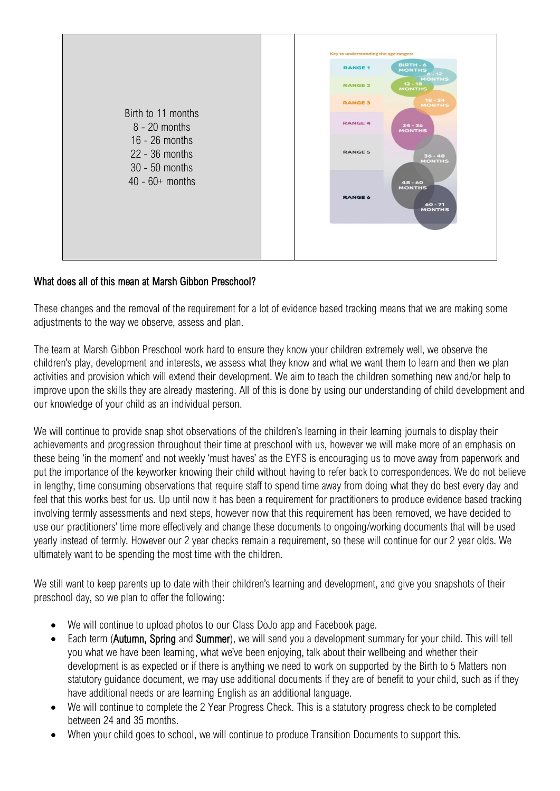

## What does all of this mean at Marsh Gibbon Preschool?

These changes and the removal of the requirement for a lot of evidence based tracking means that we are making some adjustments to the way we observe, assess and plan.

The team at Marsh Gibbon Preschool work hard to ensure they know your children extremely well, we observe the children's play, development and interests, we assess what they know and what we want them to learn and then we plan activities and provision which will extend their development. We aim to teach the children something new and/or help to improve upon the skills they are already mastering. All of this is done by using our understanding of child development and our knowledge of your child as an individual person.

We will continue to provide snap shot observations of the children's learning in their learning journals to display their achievements and progression throughout their time at preschool with us, however we will make more of an emphasis on these being 'in the moment' and not weekly 'must haves' as the EYFS is encouraging us to move away from paperwork and put the importance of the keyworker knowing their child without having to refer back to correspondences. We do not believe in lengthy, time consuming observations that require staff to spend time away from doing what they do best every day and feel that this works best for us. Up until now it has been a requirement for practitioners to produce evidence based tracking involving termly assessments and next steps, however now that this requirement has been removed, we have decided to use our practitioners' time more effectively and change these documents to ongoing/working documents that will be used yearly instead of termly. However our 2 year checks remain a requirement, so these will continue for our 2 year olds. We ultimately want to be spending the most time with the children.

We still want to keep parents up to date with their children's learning and development, and give you snapshots of their preschool day, so we plan to offer the following:

- We will continue to upload photos to our Class DoJo app and Facebook page.
- Each term (Autumn, Spring and Summer), we will send you a development summary for your child. This will tell you what we have been learning, what we've been enjoying, talk about their wellbeing and whether their development is as expected or if there is anything we need to work on supported by the Birth to 5 Matters non statutory guidance document, we may use additional documents if they are of benefit to your child, such as if they have additional needs or are learning English as an additional language.
- We will continue to complete the 2 Year Progress Check. This is a statutory progress check to be completed between 24 and 35 months.
- When your child goes to school, we will continue to produce Transition Documents to support this.